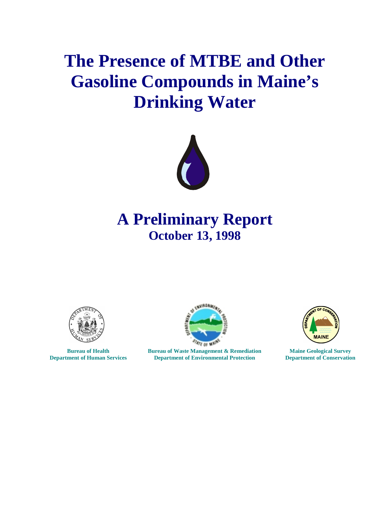# **The Presence of MTBE and Other Gasoline Compounds in Maine's Drinking Water**



## **A Preliminary Report October 13, 1998**



**Bureau of Health Department of Human Services**



**Bureau of Waste Management & Remediation Department of Environmental Protection**



**Maine Geological Survey Department of Conservation**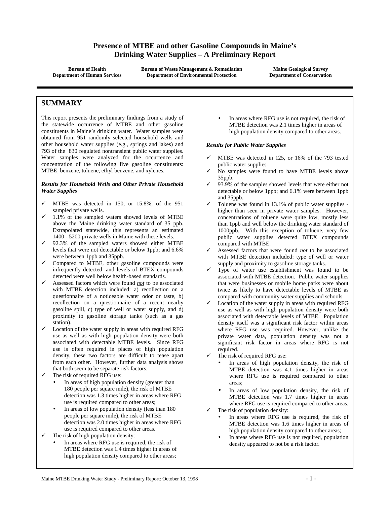## **Presence of MTBE and other Gasoline Compounds in Maine's Drinking Water Supplies – A Preliminary Report**

**Bureau of Health Department of Human Services** **Bureau of Waste Management & Remediation Department of Environmental Protection**

**Maine Geological Survey Department of Conservation**

## **SUMMARY**

This report presents the preliminary findings from a study of the statewide occurrence of MTBE and other gasoline constituents in Maine's drinking water. Water samples were obtained from 951 randomly selected household wells and other household water supplies (e.g., springs and lakes) and 793 of the 830 regulated nontransient public water supplies. Water samples were analyzed for the occurrence and concentration of the following five gasoline constituents: MTBE, benzene, toluene, ethyl benzene, and xylenes.

#### *Results for Household Wells and Other Private Household Water Supplies*

- ! MTBE was detected in 150, or 15.8%, of the 951 sampled private wells.
- ! 1.1% of the sampled waters showed levels of MTBE above the Maine drinking water standard of 35 ppb. Extrapolated statewide, this represents an estimated 1400 - 5200 private wells in Maine with these levels.
- $\checkmark$  92.3% of the sampled waters showed either MTBE levels that were not detectable or below 1ppb; and 6.6% were between 1ppb and 35ppb.
- Compared to MTBE, other gasoline compounds were infrequently detected, and levels of BTEX compounds detected were well below health-based standards.
- ! Assessed factors which were found *not* to be associated with MTBE detection included: a) recollection on a questionnaire of a noticeable water odor or taste, b) recollection on a questionnaire of a recent nearby gasoline spill, c) type of well or water supply, and d) proximity to gasoline storage tanks (such as a gas station).
- Location of the water supply in areas with required RFG use as well as with high population density were both associated with detectable MTBE levels. Since RFG use is often required in places of high population density, these two factors are difficult to tease apart from each other. However, further data analysis shows that both seem to be separate risk factors.
- The risk of required RFG use:
	- In areas of high population density (greater than 180 people per square mile), the risk of MTBE detection was 1.3 times higher in areas where RFG use is required compared to other areas;
	- In areas of low population density (less than 180 people per square mile), the risk of MTBE detection was 2.0 times higher in areas where RFG use is required compared to other areas.
- The risk of high population density:
	- In areas where RFG use is required, the risk of MTBE detection was 1.4 times higher in areas of high population density compared to other areas;

In areas where RFG use is not required, the risk of MTBE detection was 2.1 times higher in areas of high population density compared to other areas.

#### *Results for Public Water Supplies*

- ! MTBE was detected in 125, or 16% of the 793 tested public water supplies.
- No samples were found to have MTBE levels above 35ppb.
- ! 93.9% of the samples showed levels that were either not detectable or below 1ppb; and 6.1% were between 1ppb and 35ppb.
- Toluene was found in 13.1% of public water supplies higher than seen in private water samples. However, concentrations of toluene were quite low, mostly less than 1ppb and well below the drinking water standard of 1000ppb. With this exception of toluene, very few public water supplies detected BTEX compounds compared with MTBE.
- ! Assessed factors that were found *not* to be associated with MTBE detection included: type of well or water supply and proximity to gasoline storage tanks.
- Type of water use establishment was found to be associated with MTBE detection. Public water supplies that were businesses or mobile home parks were about twice as likely to have detectable levels of MTBE as compared with community water supplies and schools.
- Location of the water supply in areas with required RFG use as well as with high population density were both associated with detectable levels of MTBE. Population density itself was a significant risk factor within areas where RFG use was required. However, unlike the private water data, population density was not a significant risk factor in areas where RFG is not required.
- The risk of required RFG use:
	- In areas of high population density, the risk of MTBE detection was 4.1 times higher in areas where RFG use is required compared to other areas;
	- In areas of low population density, the risk of MTBE detection was 1.7 times higher in areas where RFG use is required compared to other areas.
- The risk of population density:
	- In areas where RFG use is required, the risk of MTBE detection was 1.6 times higher in areas of high population density compared to other areas;
	- In areas where RFG use is not required, population density appeared to not be a risk factor.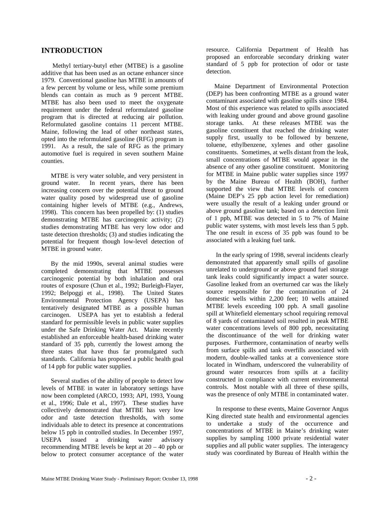## **INTRODUCTION**

 Methyl tertiary-butyl ether (MTBE) is a gasoline additive that has been used as an octane enhancer since 1979. Conventional gasoline has MTBE in amounts of a few percent by volume or less, while some premium blends can contain as much as 9 percent MTBE. MTBE has also been used to meet the oxygenate requirement under the federal reformulated gasoline program that is directed at reducing air pollution. Reformulated gasoline contains 11 percent MTBE. Maine, following the lead of other northeast states, opted into the reformulated gasoline (RFG) program in 1991. As a result, the sale of RFG as the primary automotive fuel is required in seven southern Maine counties.

 MTBE is very water soluble, and very persistent in ground water. In recent years, there has been increasing concern over the potential threat to ground water quality posed by widespread use of gasoline containing higher levels of MTBE (e.g., Andrews, 1998). This concern has been propelled by: (1) studies demonstrating MTBE has carcinogenic activity; (2) studies demonstrating MTBE has very low odor and taste detection thresholds; (3) and studies indicating the potential for frequent though low-level detection of MTBE in ground water.

 By the mid 1990s, several animal studies were completed demonstrating that MTBE possesses carcinogenic potential by both inhalation and oral routes of exposure (Chun et al., 1992; Burleigh-Flayer, 1992; Belpoggi et al., 1998). The United States Environmental Protection Agency (USEPA) has tentatively designated MTBE as a possible human carcinogen. USEPA has yet to establish a federal standard for permissible levels in public water supplies under the Safe Drinking Water Act. Maine recently established an enforceable health-based drinking water standard of 35 ppb, currently the lowest among the three states that have thus far promulgated such standards. California has proposed a public health goal of 14 ppb for public water supplies.

 Several studies of the ability of people to detect low levels of MTBE in water in laboratory settings have now been completed (ARCO, 1993; API, 1993, Young et al., 1996; Dale et al., 1997). These studies have collectively demonstrated that MTBE has very low odor and taste detection thresholds, with some individuals able to detect its presence at concentrations below 15 ppb in controlled studies. In December 1997, USEPA issued a drinking water advisory recommending MTBE levels be kept at 20 – 40 ppb or below to protect consumer acceptance of the water

resource. California Department of Health has proposed an enforceable secondary drinking water standard of 5 ppb for protection of odor or taste detection.

 Maine Department of Environmental Protection (DEP) has been confronting MTBE as a ground water contaminant associated with gasoline spills since 1984. Most of this experience was related to spills associated with leaking under ground and above ground gasoline storage tanks. At these releases MTBE was the gasoline constituent that reached the drinking water supply first, usually to be followed by benzene, toluene, ethylbenzene, xylenes and other gasoline constituents. Sometimes, at wells distant from the leak, small concentrations of MTBE would appear in the absence of any other gasoline constituent. Monitoring for MTBE in Maine public water supplies since 1997 by the Maine Bureau of Health (BOH), further supported the view that MTBE levels of concern (Maine DEP's 25 ppb action level for remediation) were usually the result of a leaking under ground or above ground gasoline tank; based on a detection limit of 1 ppb, MTBE was detected in 5 to 7% of Maine public water systems, with most levels less than 5 ppb. The one result in excess of 35 ppb was found to be associated with a leaking fuel tank.

 In the early spring of 1998, several incidents clearly demonstrated that apparently small spills of gasoline unrelated to underground or above ground fuel storage tank leaks could significantly impact a water source. Gasoline leaked from an overturned car was the likely source responsible for the contamination of 24 domestic wells within 2,200 feet; 10 wells attained MTBE levels exceeding 100 ppb. A small gasoline spill at Whitefield elementary school requiring removal of 8 yards of contaminated soil resulted in peak MTBE water concentrations levels of 800 ppb, necessitating the discontinuance of the well for drinking water purposes. Furthermore, contamination of nearby wells from surface spills and tank overfills associated with modern, double-walled tanks at a convenience store located in Windham, underscored the vulnerability of ground water resources from spills at a facility constructed in compliance with current environmental controls. Most notable with all three of these spills, was the presence of only MTBE in contaminated water.

 In response to these events, Maine Governor Angus King directed state health and environmental agencies to undertake a study of the occurrence and concentrations of MTBE in Maine's drinking water supplies by sampling 1000 private residential water supplies and all public water supplies. The interagency study was coordinated by Bureau of Health within the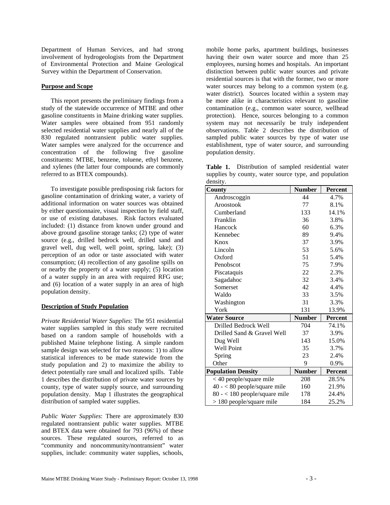Department of Human Services, and had strong involvement of hydrogeologists from the Department of Environmental Protection and Maine Geological Survey within the Department of Conservation.

#### **Purpose and Scope**

 This report presents the preliminary findings from a study of the statewide occurrence of MTBE and other gasoline constituents in Maine drinking water supplies. Water samples were obtained from 951 randomly selected residential water supplies and nearly all of the 830 regulated nontransient public water supplies. Water samples were analyzed for the occurrence and concentration of the following five gasoline constituents: MTBE, benzene, toluene, ethyl benzene, and xylenes (the latter four compounds are commonly referred to as BTEX compounds).

 To investigate possible predisposing risk factors for gasoline contamination of drinking water, a variety of additional information on water sources was obtained by either questionnaire, visual inspection by field staff, or use of existing databases. Risk factors evaluated included: (1) distance from known under ground and above ground gasoline storage tanks; (2) type of water source (e.g., drilled bedrock well, drilled sand and gravel well, dug well, well point, spring, lake); (3) perception of an odor or taste associated with water consumption; (4) recollection of any gasoline spills on or nearby the property of a water supply; (5) location of a water supply in an area with required RFG use; and (6) location of a water supply in an area of high population density.

#### **Description of Study Population**

*Private Residential Water Supplies*: The 951 residential water supplies sampled in this study were recruited based on a random sample of households with a published Maine telephone listing. A simple random sample design was selected for two reasons: 1) to allow statistical inferences to be made statewide from the study population and 2) to maximize the ability to detect potentially rare small and localized spills. Table 1 describes the distribution of private water sources by county, type of water supply source, and surrounding population density. Map 1 illustrates the geographical distribution of sampled water supplies.

*Public Water Supplies*: There are approximately 830 regulated nontransient public water supplies. MTBE and BTEX data were obtained for 793 (96%) of these sources. These regulated sources, referred to as "community and noncommunity/nontransient" water supplies, include: community water supplies, schools, mobile home parks, apartment buildings, businesses having their own water source and more than 25 employees, nursing homes and hospitals. An important distinction between public water sources and private residential sources is that with the former, two or more water sources may belong to a common system (e.g. water district). Sources located within a system may be more alike in characteristics relevant to gasoline contamination (e.g., common water source, wellhead protection). Hence, sources belonging to a common system may not necessarily be truly independent observations. Table 2 describes the distribution of sampled public water sources by type of water use establishment, type of water source, and surrounding population density.

**Table 1.** Distribution of sampled residential water supplies by county, water source type, and population density.

| County                          | <b>Number</b> | <b>Percent</b> |
|---------------------------------|---------------|----------------|
| Androscoggin                    | 44            | 4.7%           |
| Aroostook                       | 77            | 8.1%           |
| Cumberland                      | 133           | 14.1%          |
| Franklin                        | 36            | 3.8%           |
| Hancock                         | 60            | 6.3%           |
| Kennebec                        | 89            | 9.4%           |
| Knox                            | 37            | 3.9%           |
| Lincoln                         | 53            | 5.6%           |
| Oxford                          | 51            | 5.4%           |
| Penobscot                       | 75            | 7.9%           |
| Piscataquis                     | 22            | 2.3%           |
| Sagadahoc                       | 32            | 3.4%           |
| Somerset                        | 42            | 4.4%           |
| Waldo                           | 33            | 3.5%           |
| Washington                      | 31            | 3.3%           |
| York                            | 131           | 13.9%          |
| <b>Water Source</b>             | <b>Number</b> | <b>Percent</b> |
| Drilled Bedrock Well            | 704           | 74.1%          |
| Drilled Sand & Gravel Well      | 37            | 3.9%           |
| Dug Well                        | 143           | 15.0%          |
| <b>Well Point</b>               | 35            | 3.7%           |
| Spring                          | 23            | 2.4%           |
| Other                           | 9             | 0.9%           |
| <b>Population Density</b>       | <b>Number</b> | <b>Percent</b> |
| < 40 people/square mile         | 208           | 28.5%          |
| $40 - < 80$ people/square mile  | 160           | 21.9%          |
| $80 - < 180$ people/square mile | 178           | 24.4%          |
| $> 180$ people/square mile      | 184           | 25.2%          |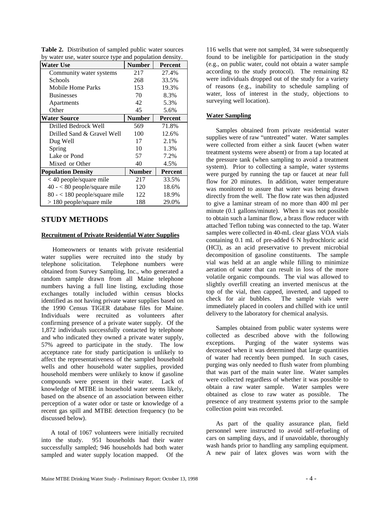| Water Use                       | <b>Number</b> | <b>Percent</b> |
|---------------------------------|---------------|----------------|
| Community water systems         | 217           | 27.4%          |
| Schools                         | 268           | 33.5%          |
| Mobile Home Parks               | 153           | 19.3%          |
| <b>Businesses</b>               | 70            | 8.3%           |
| Apartments                      | 42            | 5.3%           |
| Other                           | 45            | 5.6%           |
| <b>Water Source</b>             | <b>Number</b> | <b>Percent</b> |
| Drilled Bedrock Well            | 569           | 71.8%          |
| Drilled Sand & Gravel Well      | 100           | 12.6%          |
| Dug Well                        | 17            | 2.1%           |
| Spring                          | 10            | 1.3%           |
| Lake or Pond                    | 57            | 7.2%           |
| Mixed or Other                  | 40            | 4.5%           |
| <b>Population Density</b>       | <b>Number</b> | Percent        |
| $<$ 40 people/square mile       | 217           | 33.5%          |
| $40 - 80$ people/square mile    | 120           | 18.6%          |
| $80 - < 180$ people/square mile | 122           | 18.9%          |
| $> 180$ people/square mile      | 188           | 29.0%          |

**Table 2.** Distribution of sampled public water sources by water use, water source type and population density.

## **STUDY METHODS**

#### **Recruitment of Private Residential Water Supplies**

 Homeowners or tenants with private residential water supplies were recruited into the study by telephone solicitation. Telephone numbers were obtained from Survey Sampling, Inc., who generated a random sample drawn from all Maine telephone numbers having a full line listing, excluding those exchanges totally included within census blocks identified as not having private water supplies based on the 1990 Census TIGER database files for Maine. Individuals were recruited as volunteers after confirming presence of a private water supply. Of the 1,872 individuals successfully contacted by telephone and who indicated they owned a private water supply, 57% agreed to participate in the study. The low acceptance rate for study participation is unlikely to affect the representativeness of the sampled household wells and other household water supplies, provided household members were unlikely to know if gasoline compounds were present in their water. Lack of knowledge of MTBE in household water seems likely, based on the absence of an association between either perception of a water odor or taste or knowledge of a recent gas spill and MTBE detection frequency (to be discussed below).

 A total of 1067 volunteers were initially recruited into the study. 951 households had their water successfully sampled; 946 households had both water sampled and water supply location mapped. Of the

116 wells that were not sampled, 34 were subsequently found to be ineligible for participation in the study (e.g., on public water, could not obtain a water sample according to the study protocol). The remaining 82 were individuals dropped out of the study for a variety of reasons (e.g., inability to schedule sampling of water, loss of interest in the study, objections to surveying well location).

#### **Water Sampling**

 Samples obtained from private residential water supplies were of raw "untreated" water. Water samples were collected from either a sink faucet (when water treatment systems were absent) or from a tap located at the pressure tank (when sampling to avoid a treatment system). Prior to collecting a sample, water systems were purged by running the tap or faucet at near full flow for 20 minutes. In addition, water temperature was monitored to assure that water was being drawn directly from the well. The flow rate was then adjusted to give a laminar stream of no more than 400 ml per minute (0.1 gallons/minute). When it was not possible to obtain such a laminar flow, a brass flow reducer with attached Teflon tubing was connected to the tap. Water samples were collected in 40-mL clear glass VOA vials containing 0.1 mL of pre-added 6 N hydrochloric acid (HCl), as an acid preservative to prevent microbial decomposition of gasoline constituents. The sample vial was held at an angle while filling to minimize aeration of water that can result in loss of the more volatile organic compounds. The vial was allowed to slightly overfill creating an inverted meniscus at the top of the vial, then capped, inverted, and tapped to check for air bubbles. The sample vials were immediately placed in coolers and chilled with ice until delivery to the laboratory for chemical analysis.

 Samples obtained from public water systems were collected as described above with the following exceptions. Purging of the water systems was decreased when it was determined that large quantities of water had recently been pumped. In such cases, purging was only needed to flush water from plumbing that was part of the main water line. Water samples were collected regardless of whether it was possible to obtain a raw water sample. Water samples were obtained as close to raw water as possible. The presence of any treatment systems prior to the sample collection point was recorded.

 As part of the quality assurance plan, field personnel were instructed to avoid self-refueling of cars on sampling days, and if unavoidable, thoroughly wash hands prior to handling any sampling equipment. A new pair of latex gloves was worn with the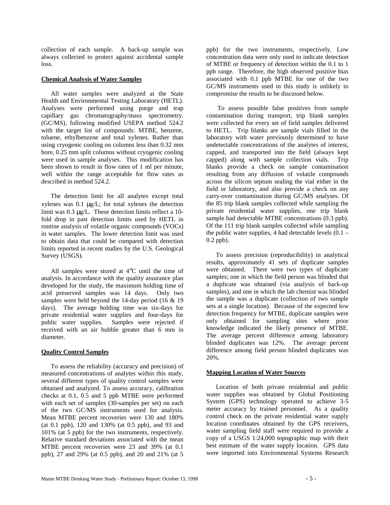collection of each sample. A back-up sample was always collected to protect against accidental sample loss.

#### **Chemical Analysis of Water Samples**

 All water samples were analyzed at the State Health and Environmental Testing Laboratory (HETL). Analyses were performed using purge and trap capillary gas chromatography/mass spectrometry. (GC/MS), following modified USEPA method 524.2 with the target list of compounds: MTBE, benzene, toluene, ethylbenzene and total xylenes. Rather than using cryogenic cooling on columns less than 0.32 mm bore, 0.25 mm split columns without cryogenic cooling were used in sample analyses. This modification has been shown to result in flow rates of 1 ml per minute, well within the range acceptable for flow rates as described in method 524.2.

 The detection limit for all analytes except total xylenes was 0.1 µg/L; for total xylenes the detection limit was 0.3 µg/L. These detection limits reflect a 10 fold drop in past detection limits used by HETL in routine analysis of volatile organic compounds (VOCs) in water samples. The lower detection limit was used to obtain data that could be compared with detection limits reported in recent studies by the U.S. Geological Survey (USGS).

 All samples were stored at 4°C until the time of analysis. In accordance with the quality assurance plan developed for the study, the maximum holding time of acid preserved samples was 14 days. Only two samples were held beyond the 14-day period (16 & 19) days). The average holding time was six-days for private residential water supplies and four-days for public water supplies. Samples were rejected if received with an air bubble greater than 6 mm in diameter.

#### **Quality Control Samples**

 To assess the reliability (accuracy and precision) of measured concentrations of analytes within this study, several different types of quality control samples were obtained and analyzed. To assess accuracy, calibration checks at 0.1, 0.5 and 5 ppb MTBE were performed with each set of samples (30-samples per set) on each of the two GC/MS instruments used for analysis. Mean MTBE percent recoveries were 130 and 180% (at 0.1 ppb), 120 and 130% (at 0.5 ppb), and 93 and 101% (at 5 ppb) for the two instruments, respectively. Relative standard deviations associated with the mean MTBE percent recoveries were 23 and 39% (at 0.1 ppb), 27 and 29% (at 0.5 ppb), and 20 and 21% (at 5 ppb) for the two instruments, respectively. Low concentration data were only used to indicate detection of MTBE or frequency of detection within the 0.1 to 1 ppb range. Therefore, the high observed positive bias associated with 0.1 ppb MTBE for one of the two GC/MS instruments used in this study is unlikely to compromise the results to be discussed below.

 To assess possible false positives from sample contamination during transport, trip blank samples were collected for every set of field samples delivered to HETL. Trip blanks are sample vials filled in the laboratory with water previously determined to have undetectable concentrations of the analytes of interest, capped, and transported into the field (always kept capped) along with sample collection vials. Trip blanks provide a check on sample contamination resulting from any diffusion of volatile compounds across the silicon septum sealing the vial either in the field or laboratory, and also provide a check on any carry-over contamination during GC/MS analyses. Of the 85 trip blank samples collected while sampling the private residential water supplies, one trip blank sample had detectable MTBE concentrations (0.3 ppb). Of the 111 trip blank samples collected while sampling the public water supplies, 4 had detectable levels  $(0.1 -$ 0.2 ppb).

 To assess precision (reproducibility) in analytical results, approximately 41 sets of duplicate samples were obtained. There were two types of duplicate samples; one in which the field person was blinded that a duplicate was obtained (via analysis of back-up samples), and one in which the lab chemist was blinded the sample was a duplicate (collection of two sample sets at a single location). Because of the expected low detection frequency for MTBE, duplicate samples were only obtained for sampling sites where prior knowledge indicated the likely presence of MTBE. The average percent difference among laboratory blinded duplicates was 12%. The average percent difference among field person blinded duplicates was 20%.

#### **Mapping Location of Water Sources**

 Location of both private residential and public water supplies was obtained by Global Positioning System (GPS) technology operated to achieve 3-5 meter accuracy by trained personnel. As a quality control check on the private residential water supply location coordinates obtained by the GPS receivers, water sampling field staff were required to provide a copy of a USGS 1:24,000 topographic map with their best estimate of the water supply location. GPS data were imported into Environmental Systems Research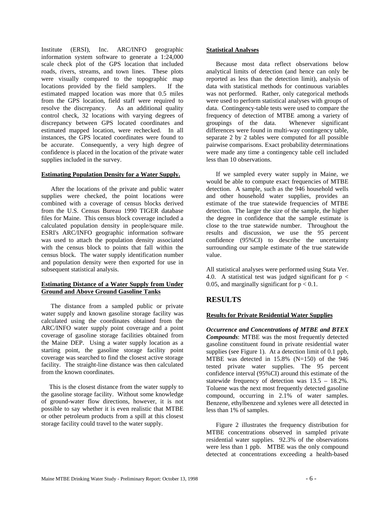Institute (ERSI), Inc. ARC/INFO geographic information system software to generate a 1:24,000 scale check plot of the GPS location that included roads, rivers, streams, and town lines. These plots were visually compared to the topographic map locations provided by the field samplers. If the estimated mapped location was more that 0.5 miles from the GPS location, field staff were required to resolve the discrepancy. As an additional quality control check, 32 locations with varying degrees of discrepancy between GPS located coordinates and estimated mapped location, were rechecked. In all instances, the GPS located coordinates were found to be accurate. Consequently, a very high degree of confidence is placed in the location of the private water supplies included in the survey.

#### **Estimating Population Density for a Water Supply.**

 After the locations of the private and public water supplies were checked, the point locations were combined with a coverage of census blocks derived from the U.S. Census Bureau 1990 TIGER database files for Maine. This census block coverage included a calculated population density in people/square mile. ESRI's ARC/INFO geographic information software was used to attach the population density associated with the census block to points that fall within the census block. The water supply identification number and population density were then exported for use in subsequent statistical analysis.

#### **Estimating Distance of a Water Supply from Under Ground and Above Ground Gasoline Tanks**

 The distance from a sampled public or private water supply and known gasoline storage facility was calculated using the coordinates obtained from the ARC/INFO water supply point coverage and a point coverage of gasoline storage facilities obtained from the Maine DEP. Using a water supply location as a starting point, the gasoline storage facility point coverage was searched to find the closest active storage facility. The straight-line distance was then calculated from the known coordinates.

 This is the closest distance from the water supply to the gasoline storage facility. Without some knowledge of ground-water flow directions, however, it is not possible to say whether it is even realistic that MTBE or other petroleum products from a spill at this closest storage facility could travel to the water supply.

 Because most data reflect observations below analytical limits of detection (and hence can only be reported as less than the detection limit), analysis of data with statistical methods for continuous variables was not performed. Rather, only categorical methods were used to perform statistical analyses with groups of data. Contingency-table tests were used to compare the frequency of detection of MTBE among a variety of groupings of the data. Whenever significant differences were found in multi-way contingency table, separate 2 by 2 tables were computed for all possible pairwise comparisons. Exact probability determinations were made any time a contingency table cell included less than 10 observations.

 If we sampled every water supply in Maine, we would be able to compute exact frequencies of MTBE detection. A sample, such as the 946 household wells and other household water supplies, provides an estimate of the true statewide frequencies of MTBE detection. The larger the size of the sample, the higher the degree in confidence that the sample estimate is close to the true statewide number. Throughout the results and discussion, we use the 95 percent confidence (95%CI) to describe the uncertainty surrounding our sample estimate of the true statewide value.

All statistical analyses were performed using Stata Ver. 4.0. A statistical test was judged significant for  $p <$ 0.05, and marginally significant for  $p < 0.1$ .

## **RESULTS**

#### **Results for Private Residential Water Supplies**

*Occurrence and Concentrations of MTBE and BTEX Compounds*: MTBE was the most frequently detected gasoline constituent found in private residential water supplies (see Figure 1). At a detection limit of 0.1 ppb, MTBE was detected in 15.8% (N=150) of the 946 tested private water supplies. The 95 percent confidence interval (95%CI) around this estimate of the statewide frequency of detection was 13.5 – 18.2%. Toluene was the next most frequently detected gasoline compound, occurring in 2.1% of water samples. Benzene, ethylbenzene and xylenes were all detected in less than 1% of samples.

 Figure 2 illustrates the frequency distribution for MTBE concentrations observed in sampled private residential water supplies. 92.3% of the observations were less than 1 ppb. MTBE was the only compound detected at concentrations exceeding a health-based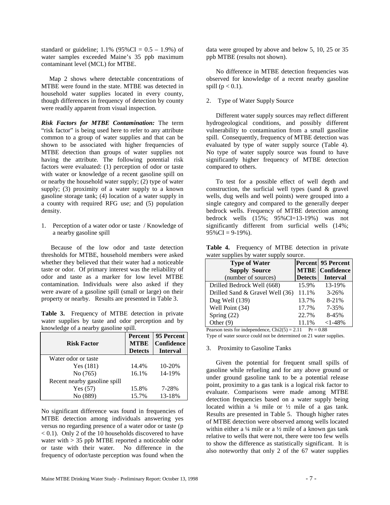standard or guideline;  $1.1\%$  (95%CI = 0.5 – 1.9%) of water samples exceeded Maine's 35 ppb maximum contaminant level (MCL) for MTBE.

 Map 2 shows where detectable concentrations of MTBE were found in the state. MTBE was detected in household water supplies located in every county, though differences in frequency of detection by county were readily apparent from visual inspection.

*Risk Factors for MTBE Contamination:* The term "risk factor" is being used here to refer to any attribute common to a group of water supplies and that can be shown to be associated with higher frequencies of MTBE detection than groups of water supplies not having the attribute. The following potential risk factors were evaluated: (1) perception of odor or taste with water or knowledge of a recent gasoline spill on or nearby the household water supply; (2) type of water supply; (3) proximity of a water supply to a known gasoline storage tank; (4) location of a water supply in a county with required RFG use; and (5) population density.

1. Perception of a water odor or taste / Knowledge of a nearby gasoline spill

 Because of the low odor and taste detection thresholds for MTBE, household members were asked whether they believed that their water had a noticeable taste or odor. Of primary interest was the reliability of odor and taste as a marker for low level MTBE contamination. Individuals were also asked if they were aware of a gasoline spill (small or large) on their property or nearby. Results are presented in Table 3.

**Table 3.** Frequency of MTBE detection in private water supplies by taste and odor perception and by knowledge of a nearby gasoline spill.

|                              | <b>Percent</b> | 95 Percent      |
|------------------------------|----------------|-----------------|
| <b>Risk Factor</b>           | <b>MTBE</b>    | Confidence      |
|                              | <b>Detects</b> | <b>Interval</b> |
| Water odor or taste          |                |                 |
| Yes(181)                     | 14.4%          | 10-20%          |
| No (765)                     | 16.1%          | 14-19%          |
| Recent nearby gasoline spill |                |                 |
| Yes $(57)$                   | 15.8%          | 7-28%           |
| No (889)                     | 15.7%          | 13-18%          |

No significant difference was found in frequencies of MTBE detection among individuals answering yes versus no regarding presence of a water odor or taste (p < 0.1). Only 2 of the 10 households discovered to have water with > 35 ppb MTBE reported a noticeable odor or taste with their water. No difference in the frequency of odor/taste perception was found when the

data were grouped by above and below 5, 10, 25 or 35 ppb MTBE (results not shown).

 No difference in MTBE detection frequencies was observed for knowledge of a recent nearby gasoline spill  $(p < 0.1)$ .

#### 2. Type of Water Supply Source

 Different water supply sources may reflect different hydrogeological conditions, and possibly different vulnerability to contamination from a small gasoline spill. Consequently, frequency of MTBE detection was evaluated by type of water supply source (Table 4). No type of water supply source was found to have significantly higher frequency of MTBE detection compared to others.

 To test for a possible effect of well depth and construction, the surficial well types (sand & gravel wells, dug wells and well points) were grouped into a single category and compared to the generally deeper bedrock wells. Frequency of MTBE detection among bedrock wells  $(15\%; 95\% \text{CI} = 13-19\%)$  was not significantly different from surficial wells (14%;  $95\%$ CI = 9-19%).

| <b>Type of Water</b>                |                | <b>Percent</b> 95 Percent |
|-------------------------------------|----------------|---------------------------|
| <b>Supply Source</b>                |                | <b>MTBE</b> Confidence    |
| (number of sources)                 | <b>Detects</b> | <b>Interval</b>           |
| Drilled Bedrock Well (668)          | 15.9%          | 13-19%                    |
| Drilled Sand $&$ Gravel Well $(36)$ | 11.1%          | $3 - 26%$                 |
| Dug Well (139)                      | 13.7%          | 8-21%                     |
| Well Point (34)                     | 17.7%          | 7-35%                     |
| Spring $(22)$                       | 22.7%          | 8-45%                     |
| Other $(9)$                         | 11.1%          | $<1-48%$                  |

**Table 4.** Frequency of MTBE detection in private water supplies by water supply source.

earson tests for independence,  $Chi2(5) = 2.11$ Type of water source could not be determined on 21 water supplies.

#### 3. Proximity to Gasoline Tanks

 Given the potential for frequent small spills of gasoline while refueling and for any above ground or under ground gasoline tank to be a potential release point, proximity to a gas tank is a logical risk factor to evaluate. Comparisons were made among MTBE detection frequencies based on a water supply being located within a  $\frac{1}{4}$  mile or  $\frac{1}{2}$  mile of a gas tank. Results are presented in Table 5. Though higher rates of MTBE detection were observed among wells located within either a  $\frac{1}{4}$  mile or a  $\frac{1}{2}$  mile of a known gas tank relative to wells that were not, there were too few wells to show the difference as statistically significant. It is also noteworthy that only 2 of the 67 water supplies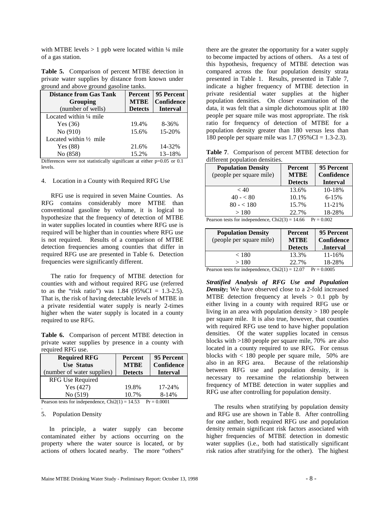with MTBE levels  $> 1$  ppb were located within  $\frac{1}{4}$  mile of a gas station.

| Table 5. Comparison of percent MTBE detection in    |  |  |
|-----------------------------------------------------|--|--|
| private water supplies by distance from known under |  |  |
| ground and above ground gasoline tanks.             |  |  |

| <b>Percent</b> | 95 Percent      |
|----------------|-----------------|
| <b>MTBE</b>    | Confidence      |
| <b>Detects</b> | <b>Interval</b> |
|                |                 |
| 19.4%          | 8-36%           |
| 15.6%          | 15-20%          |
|                |                 |
| 21.6%          | 14-32%          |
| 15.2%          | $13 - 18%$      |
|                |                 |

Differences were not statistically significant at either p=0.05 or 0.1 levels.

4. Location in a County with Required RFG Use

 RFG use is required in seven Maine Counties. As RFG contains considerably more MTBE than conventional gasoline by volume, it is logical to hypothesize that the frequency of detection of MTBE in water supplies located in counties where RFG use is required will be higher than in counties where RFG use is not required. Results of a comparison of MTBE detection frequencies among counties that differ in required RFG use are presented in Table 6. Detection frequencies were significantly different.

 The ratio for frequency of MTBE detection for counties with and without required RFG use (referred to as the "risk ratio") was  $1.84$  (95%CI = 1.3-2.5). That is, the risk of having detectable levels of MTBE in a private residential water supply is nearly 2-times higher when the water supply is located in a county required to use RFG.

**Table 6.** Comparison of percent MTBE detection in private water supplies by presence in a county with required RFG use.

| <b>Required RFG</b><br><b>Use Status</b><br>number of water supplies) | Percent<br><b>MTBE</b><br><b>Detects</b> | 95 Percent<br>Confidence<br><b>Interval</b> |
|-----------------------------------------------------------------------|------------------------------------------|---------------------------------------------|
| RFG Use Required                                                      |                                          |                                             |
| Yes $(427)$                                                           | 19.8%                                    | 17-24%                                      |
| No (519)                                                              | 10.7%                                    | 8-14%                                       |

Pearson tests for independence,  $Chi2(1) = 14.53$  Pr = 0.0001 .

#### 5. Population Density

 In principle, a water supply can become contaminated either by actions occurring on the property where the water source is located, or by actions of others located nearby. The more "others"

there are the greater the opportunity for a water supply to become impacted by actions of others. As a test of this hypothesis, frequency of MTBE detection was compared across the four population density strata presented in Table 1. Results, presented in Table 7, indicate a higher frequency of MTBE detection in private residential water supplies at the higher population densities. On closer examination of the data, it was felt that a simple dichotomous split at 180 people per square mile was most appropriate. The risk ratio for frequency of detection of MTBE for a population density greater than 180 versus less than 180 people per square mile was  $1.7 (95\% CI = 1.3-2.3)$ .

**Table 7**. Comparison of percent MTBE detection for different population densities.

| <b>Population Density</b><br>(people per square mile) | <b>Percent</b><br><b>MTBE</b><br><b>Detects</b> | 95 Percent<br>Confidence<br><b>Interval</b> |
|-------------------------------------------------------|-------------------------------------------------|---------------------------------------------|
| < 40                                                  | 13.6%                                           | 10-18%                                      |
| $40 - 80$                                             | 10.1%                                           | $6 - 15%$                                   |
| $80 - 180$                                            | 15.7%                                           | $11 - 21%$                                  |
| >180                                                  | 22.7%                                           | 18-28%                                      |
| Degreen tests for independence $Chi(2) = 14.66$       |                                                 | $D_r = 0.002$                               |

Pearson tests for independence,  $Chi2(3) = 14.66$  Pr = 0.002

| <b>Population Density</b><br>(people per square mile) | <b>Percent</b><br><b>MTBE</b><br><b>Detects</b> | 95 Percent<br>Confidence<br><b>.Interval</b> |
|-------------------------------------------------------|-------------------------------------------------|----------------------------------------------|
| < 180                                                 | 13.3%                                           | $11 - 16%$                                   |
| >180                                                  | 22.7%                                           | 18-28%                                       |

Pearson tests for independence,  $Chi2(1) = 12.07$  Pr = 0.0005

*Stratified Analysis of RFG Use and Population Density***:** We have observed close to a 2-fold increased MTBE detection frequency at levels  $> 0.1$  ppb by either living in a county with required RFG use or living in an area with population density  $> 180$  people per square mile. It is also true, however, that counties with required RFG use tend to have higher population densities. Of the water supplies located in census blocks with >180 people per square mile, 70% are also located in a county required to use RFG. For census blocks with  $< 180$  people per square mile, 50% are also in an RFG area. Because of the relationship between RFG use and population density, it is necessary to reexamine the relationship between frequency of MTBE detection in water supplies and RFG use after controlling for population density.

 The results when stratifying by population density and RFG use are shown in Table 8. After controlling for one anther, both required RFG use and population density remain significant risk factors associated with higher frequencies of MTBE detection in domestic water supplies (i.e., both had statistically significant risk ratios after stratifying for the other). The highest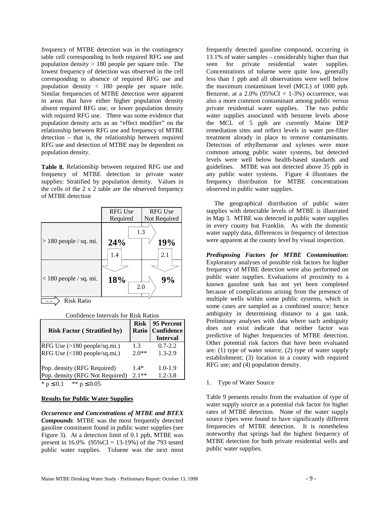frequency of MTBE detection was in the contingency table cell corresponding to both required RFG use and population density > 180 people per square mile. The lowest frequency of detection was observed in the cell corresponding to absence of required RFG use and population density < 180 people per square mile. Similar frequencies of MTBE detection were apparent in areas that have either higher population density absent required RFG use, or lower population density with required RFG use. There was some evidence that population density acts as an "effect modifier" on the relationship between RFG use and frequency of MTBE detection – that is, the relationship between required RFG use and detection of MTBE may be dependent on population density.

**Table 8.** Relationship between required RFG use and frequency of MTBE detection in private water supplies: Stratified by population density. Values in the cells of the 2 x 2 table are the observed frequency of MTBE detection

|                          | <b>RFG Use</b>    | <b>RFG Use</b> |
|--------------------------|-------------------|----------------|
|                          | Required          | Not Required   |
| $> 180$ people / sq. mi. | 1.3<br>24%<br>1.4 | 19%<br>2.1     |
| $< 180$ people / sq. mi. | 18%<br>2.0        | 9%             |

 $\Rightarrow$  Risk Ratio

Confidence Intervals for Risk Ratios

| <b>Risk Factor (Stratified by)</b> | <b>Risk</b><br>Ratio | 95 Percent<br><b>Confidence</b><br><b>Interval</b> |
|------------------------------------|----------------------|----------------------------------------------------|
| RFG Use (>180 people/sq.mi.)       | 1.3                  | $0.7 - 2.2$                                        |
| RFG Use (<180 people/sq.mi.)       | $2.0**$              | $1.3 - 2.9$                                        |
| Pop. density (RFG Required)        | $1.4*$               | $1.0 - 1.9$                                        |
| Pop. density (RFG Not Required)    | $2.1**$              | $1.2 - 3.8$                                        |

\*  $p \le 0.1$  \*\*  $p \le 0.05$ 

#### **Results for Public Water Supplies**

*Occurrence and Concentrations of MTBE and BTEX Compounds*: MTBE was the most frequently detected gasoline constituent found in public water supplies (see Figure 3). At a detection limit of 0.1 ppb, MTBE was present in  $16.0\%$  (95%CI = 13-19%) of the 793 tested public water supplies. Toluene was the next most frequently detected gasoline compound, occurring in 13.1% of water samples – considerably higher than that seen for private residential water supplies. Concentrations of toluene were quite low, generally less than 1 ppb and all observations were well below the maximum contaminant level (MCL) of 1000 ppb. Benzene, at a  $2.0\%$  (95%CI = 1-3%) occurrence, was also a more common contaminant among public versus private residential water supplies. The two public water supplies associated with benzene levels above the MCL of 5 ppb are currently Maine DEP remediation sites and reflect levels in water pre-filter treatment already in place to remove contaminants. Detection of ethylbenzene and xylenes were more common among public water systems, but detected levels were well below health-based standards and guidelines. MTBE was not detected above 35 ppb in any public water systems. Figure 4 illustrates the frequency distribution for MTBE concentrations observed in public water supplies.

 The geographical distribution of public water supplies with detectable levels of MTBE is illustrated in Map 3. MTBE was detected in public water supplies in every county but Franklin. As with the domestic water supply data, differences in frequency of detection were apparent at the county level by visual inspection.

*Predisposing Factors for MTBE Contamination:* Exploratory analyses of possible risk factors for higher frequency of MTBE detection were also performed on public water supplies. Evaluations of proximity to a known gasoline tank has not yet been completed because of complications arising from the presence of multiple wells within some public systems, which in some cases are sampled as a combined source; hence ambiguity in determining distance to a gas tank. Preliminary analyses with data where such ambiguity does not exist indicate that neither factor was predictive of higher frequencies of MTBE detection. Other potential risk factors that have been evaluated are: (1) type of water source; (2) type of water supply establishment; (3) location in a county with required RFG use; and (4) population density.

#### 1. Type of Water Source

Table 9 presents results from the evaluation of type of water supply source as a potential risk factor for higher rates of MTBE detection. None of the water supply source types were found to have significantly different frequencies of MTBE detection. It is nonetheless noteworthy that springs had the highest frequency of MTBE detection for both private residential wells and public water supplies.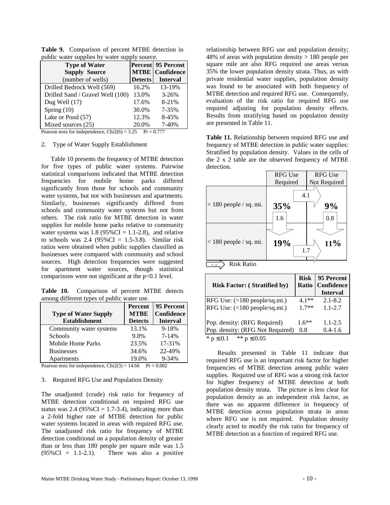|       | <b>Percent</b> 95 Percent<br><b>MTBE</b>   Confidence            |
|-------|------------------------------------------------------------------|
|       | <b>Interval</b>                                                  |
| 16.2% | 13-19%                                                           |
| 13.0% | $3 - 26%$                                                        |
| 17.6% | 8-21%                                                            |
| 30.0% | 7-35%                                                            |
| 12.3% | 8-45%                                                            |
| 20.0% | 7-40%                                                            |
|       | <b>Detects</b><br>Degreen tests for independence $Chi(6) = 3.25$ |

**Table 9.** Comparison of percent MTBE detection in public water supplies by water supply source.

Pearson tests for independence,  $Chi2(6) = 3.25$  Pr = 0.777

#### 2. Type of Water Supply Establishment

 Table 10 presents the frequency of MTBE detection for five types of public water systems. Pairwise statistical comparisons indicated that MTBE detection frequencies for mobile home parks differed significantly from those for schools and community water systems, but not with businesses and apartments. Similarly, businesses significantly differed from schools and community water systems but not from others. The risk ratio for MTBE detection in water supplies for mobile home parks relative to community water systems was  $1.8$  (95%CI = 1.1-2.8), and relative to schools was  $2.4$  (95%CI = 1.5-3.8). Similar risk ratios were obtained when public supplies classified as businesses were compared with community and school sources. High detection frequencies were suggested for apartment water sources, though statistical comparisons were not significant at the  $p<0.1$  level.

**Table 10.** Comparison of percent MTBE detects among different types of public water use.

|                             | Percent        | 95 Percent        |
|-----------------------------|----------------|-------------------|
| <b>Type of Water Supply</b> | <b>MTBE</b>    | <b>Confidence</b> |
| <b>Establishment</b>        | <b>Detects</b> | <b>Interval</b>   |
| Community water systems     | 13.1%          | $9 - 18%$         |
| Schools                     | 9.8%           | $7 - 14%$         |
| Mobile Home Parks           | 23.5%          | 17-31%            |
| <b>Businesses</b>           | 34.6%          | 22-49%            |
| Apartments                  | 19.0%          | $9 - 34%$         |

Pearson tests for independence,  $Chi2(3) = 14.66$  Pr = 0.002

#### 3. Required RFG Use and Population Density

The unadjusted (crude) risk ratio for frequency of MTBE detection conditional on required RFG use status was  $2.4$  (95%CI = 1.7-3.4), indicating more than a 2-fold higher rate of MTBE detection for public water systems located in areas with required RFG use. The unadjusted risk ratio for frequency of MTBE detection conditional on a population density of greater than or less than 180 people per square mile was 1.5  $(95\%CI = 1.1-2.1)$ . There was also a positive

relationship between RFG use and population density; 48% of areas with population density  $> 180$  people per square mile are also RFG required use areas versus 35% the lower population density strata. Thus, as with private residential water supplies, population density was found to be associated with both frequency of MTBE detection and required RFG use. Consequently, evaluation of the risk ratio for required RFG use required adjusting for population density effects. Results from stratifying based on population density are presented in Table 11.

**Table 11.** Relationship between required RFG use and frequency of MTBE detection in public water supplies: Stratified by population density. Values in the cells of the 2 x 2 table are the observed frequency of MTBE detection.

|                                    | <b>RFG Use</b>    | <b>RFG Use</b> |
|------------------------------------|-------------------|----------------|
|                                    | Required          | Not Required   |
| $> 180$ people / sq. mi.           | 4.1<br>35%<br>1.6 | 9%<br>0.8      |
| $< 180$ people / sq. mi.           | 19%<br>1.7        | $11\%$         |
| <b>Risk Ratio</b><br>$\sim$ $\sim$ |                   |                |

| <b>Risk Factor: (Stratified by)</b> | <b>Risk</b><br><b>Ratio</b> | 95 Percent<br><b>Confidence</b><br><b>Interval</b> |
|-------------------------------------|-----------------------------|----------------------------------------------------|
| RFG Use: $(>180$ people/sq.mi.)     | 4 1**                       | $2.1 - 8.2$                                        |
| RFG Use: (<180 people/sq.mi.)       | $17**$                      | $1.1 - 2.7$                                        |
| Pop. density: (RFG Required)        | $1.6**$                     | $1.1 - 2.5$                                        |
| Pop. density: (RFG Not Required)    | 0.8                         | $0.4 - 1.6$                                        |
| ** $p \le 0.05$<br>* $p \leq 0.1$   |                             |                                                    |

 Results presented in Table 11 indicate that required RFG use is an important risk factor for higher frequencies of MTBE detection among public water supplies. Required use of RFG was a strong risk factor for higher frequency of MTBE detection at both population density strata. The picture is less clear for population density as an independent risk factor, as there was no apparent difference in frequency of MTBE detection across population strata in areas where RFG use is not required. Population density clearly acted to modify the risk ratio for frequency of MTBE detection as a function of required RFG use.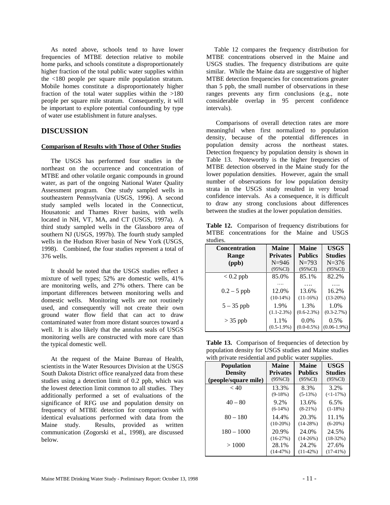As noted above, schools tend to have lower frequencies of MTBE detection relative to mobile home parks, and schools constitute a disproportionately higher fraction of the total public water supplies within the <180 people per square mile population stratum. Mobile homes constitute a disproportionately higher fraction of the total water supplies within the  $>180$ people per square mile stratum. Consequently, it will be important to explore potential confounding by type of water use establishment in future analyses.

## **DISCUSSION**

#### **Comparison of Results with Those of Other Studies**

 The USGS has performed four studies in the northeast on the occurrence and concentration of MTBE and other volatile organic compounds in ground water, as part of the ongoing National Water Quality Assessment program. One study sampled wells in southeastern Pennsylvania (USGS, 1996). A second study sampled wells located in the Connecticut, Housatonic and Thames River basins, with wells located in NH, VT, MA, and CT (USGS, 1997a). A third study sampled wells in the Glassboro area of southern NJ (USGS, 1997b). The fourth study sampled wells in the Hudson River basin of New York (USGS, 1998). Combined, the four studies represent a total of 376 wells.

 It should be noted that the USGS studies reflect a mixture of well types; 52% are domestic wells, 41% are monitoring wells, and 27% others. There can be important differences between monitoring wells and domestic wells. Monitoring wells are not routinely used, and consequently will not create their own ground water flow field that can act to draw contaminated water from more distant sources toward a well. It is also likely that the annulus seals of USGS monitoring wells are constructed with more care than the typical domestic well.

 At the request of the Maine Bureau of Health, scientists in the Water Resources Division at the USGS South Dakota District office reanalyzed data from these studies using a detection limit of 0.2 ppb, which was the lowest detection limit common to all studies. They additionally performed a set of evaluations of the significance of RFG use and population density on frequency of MTBE detection for comparison with identical evaluations performed with data from the Maine study. Results, provided as written communication (Zogorski et al., 1998), are discussed below.

 Table 12 compares the frequency distribution for MTBE concentrations observed in the Maine and USGS studies. The frequency distributions are quite similar. While the Maine data are suggestive of higher MTBE detection frequencies for concentrations greater than 5 ppb, the small number of observations in these ranges prevents any firm conclusions (e.g., note considerable overlap in 95 percent confidence intervals).

 Comparisons of overall detection rates are more meaningful when first normalized to population density, because of the potential differences in population density across the northeast states. Detection frequency by population density is shown in Table 13. Noteworthy is the higher frequencies of MTBE detection observed in the Maine study for the lower population densities. However, again the small number of observations for low population density strata in the USGS study resulted in very broad confidence intervals. As a consequence, it is difficult to draw any strong conclusions about differences between the studies at the lower population densities.

Table 12. Comparison of frequency distributions for MTBE concentrations for the Maine and USGS studies.

| <b>Concentration</b> | <b>Maine</b>    | <b>Maine</b>    | <b>USGS</b>     |
|----------------------|-----------------|-----------------|-----------------|
| <b>Range</b>         | <b>Privates</b> | <b>Publics</b>  | <b>Studies</b>  |
| (ppb)                | $N = 946$       | $N = 793$       | $N = 376$       |
|                      | $(95\%$ CI)     | $(95\%CI)$      | $(95\%$ CI)     |
| $< 0.2$ ppb          | 85.0%           | 85.1%           | 82.2%           |
|                      |                 |                 |                 |
| $0.2 - 5$ ppb        | 12.0%           | 13.6%           | 16.2%           |
|                      | $(10-14%)$      | $(11-16%)$      | $(13-20%)$      |
| $5 - 35$ ppb         | 1.9%            | 1.3%            | 1.0%            |
|                      | $(1.1 - 2.3\%)$ | $(0.6-2.3%)$    | $(0.3 - 2.7\%)$ |
| $>$ 35 ppb           | 1.1%            | $0.0\%$         | 0.5%            |
|                      | $(0.5-1.9\%)$   | $(0.0 - 0.5\%)$ | $(0.06-1.9\%)$  |

Table 13. Comparison of frequencies of detection by population density for USGS studies and Maine studies with private residential and public water supplies.

| <b>Population</b>    | <b>Maine</b>    | <b>Maine</b>   | <b>USGS</b>    |
|----------------------|-----------------|----------------|----------------|
| <b>Density</b>       | <b>Privates</b> | <b>Publics</b> | <b>Studies</b> |
| (people/square mile) | $(95\%$ CI      | $(95\%CI)$     | $(95\%$ CI     |
| < 40                 | 13.3%           | 8.3%           | 3.2%           |
|                      | $(9-18%)$       | $(5-13%)$      | $(<1-17\%)$    |
| $40 - 80$            | 9.2%            | 13.6%          | 6.5%           |
|                      | $(6-14%)$       | $(8-21%)$      | $(1-18\%)$     |
| $80 - 180$           | 14.4%           | 20.3%          | 11.1%          |
|                      | $(10-20%)$      | $(14-28%)$     | $(6-20%)$      |
| $180 - 1000$         | 20.9%           | 24.0%          | 24.5%          |
|                      | $(16-27%)$      | $(14-26%)$     | $(18-32%)$     |
| >1000                | 28.1%           | 24.2%          | 27.6%          |
|                      | $(14-47%)$      | $(11-42%)$     | $(17-41%)$     |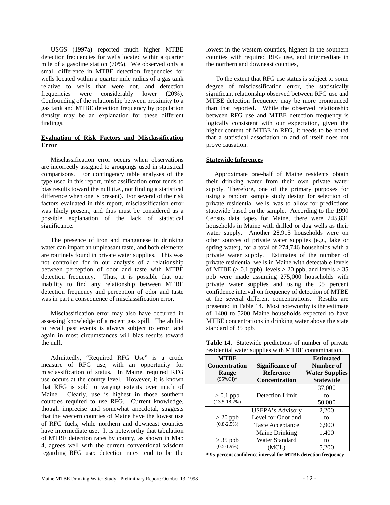USGS (1997a) reported much higher MTBE detection frequencies for wells located within a quarter mile of a gasoline station (70%). We observed only a small difference in MTBE detection frequencies for wells located within a quarter mile radius of a gas tank relative to wells that were not, and detection frequencies were considerably lower (20%). Confounding of the relationship between proximity to a gas tank and MTBE detection frequency by population density may be an explanation for these different findings.

#### **Evaluation of Risk Factors and Misclassification Error**

 Misclassification error occurs when observations are incorrectly assigned to groupings used in statistical comparisons. For contingency table analyses of the type used in this report, misclassification error tends to bias results toward the null (i.e., not finding a statistical difference when one is present). For several of the risk factors evaluated in this report, misclassification error was likely present, and thus must be considered as a possible explanation of the lack of statistical significance.

 The presence of iron and manganese in drinking water can impart an unpleasant taste, and both elements are routinely found in private water supplies. This was not controlled for in our analysis of a relationship between perception of odor and taste with MTBE detection frequency. Thus, it is possible that our inability to find any relationship between MTBE detection frequency and perception of odor and taste was in part a consequence of misclassification error.

 Misclassification error may also have occurred in assessing knowledge of a recent gas spill. The ability to recall past events is always subject to error, and again in most circumstances will bias results toward the null.

 Admittedly, "Required RFG Use" is a crude measure of RFG use, with an opportunity for misclassification of status. In Maine, required RFG use occurs at the county level. However, it is known that RFG is sold to varying extents over much of Maine. Clearly, use is highest in those southern counties required to use RFG. Current knowledge, though imprecise and somewhat anecdotal, suggests that the western counties of Maine have the lowest use of RFG fuels, while northern and downeast counties have intermediate use. It is noteworthy that tabulation of MTBE detection rates by county, as shown in Map 4, agrees well with the current conventional wisdom regarding RFG use: detection rates tend to be the

lowest in the western counties, highest in the southern counties with required RFG use, and intermediate in the northern and downeast counties,

 To the extent that RFG use status is subject to some degree of misclassification error, the statistically significant relationship observed between RFG use and MTBE detection frequency may be more pronounced than that reported. While the observed relationship between RFG use and MTBE detection frequency is logically consistent with our expectation, given the higher content of MTBE in RFG, it needs to be noted that a statistical association in and of itself does not prove causation.

#### **Statewide Inferences**

 Approximate one-half of Maine residents obtain their drinking water from their own private water supply. Therefore, one of the primary purposes for using a random sample study design for selection of private residential wells, was to allow for predictions statewide based on the sample. According to the 1990 Census data tapes for Maine, there were 245,831 households in Maine with drilled or dug wells as their water supply. Another 28,915 households were on other sources of private water supplies (e.g., lake or spring water), for a total of 274,746 households with a private water supply. Estimates of the number of private residential wells in Maine with detectable levels of MTBE ( $> 0.1$  ppb), levels  $> 20$  ppb, and levels  $> 35$ ppb were made assuming 275,000 households with private water supplies and using the 95 percent confidence interval on frequency of detection of MTBE at the several different concentrations. Results are presented in Table 14. Most noteworthy is the estimate of 1400 to 5200 Maine households expected to have MTBE concentrations in drinking water above the state standard of 35 ppb.

| <b>MTBE</b>          |                         | <b>Estimated</b>      |
|----------------------|-------------------------|-----------------------|
| <b>Concentration</b> | Significance of         | Number of             |
| Range                | <b>Reference</b>        | <b>Water Supplies</b> |
| $(95\%CI)*$          | <b>Concentration</b>    | <b>Statewide</b>      |
|                      |                         | 37,000                |
| $> 0.1$ ppb          | Detection Limit         | to                    |
| $(13.5 - 18.2\%)$    |                         | 50,000                |
|                      | USEPA's Advisory        | 2,200                 |
| $> 20$ ppb           | Level for Odor and      | to                    |
| $(0.8 - 2.5\%)$      | <b>Taste Acceptance</b> | 6,900                 |
|                      | Maine Drinking          | 1,400                 |
| $>$ 35 ppb           | <b>Water Standard</b>   | to                    |
| $(0.5-1.9\%)$        | (MCL)                   | 5.200                 |

**Table 14.** Statewide predictions of number of private residential water supplies with MTBE contamination.

**\* 95 percent confidence interval for MTBE detection frequency**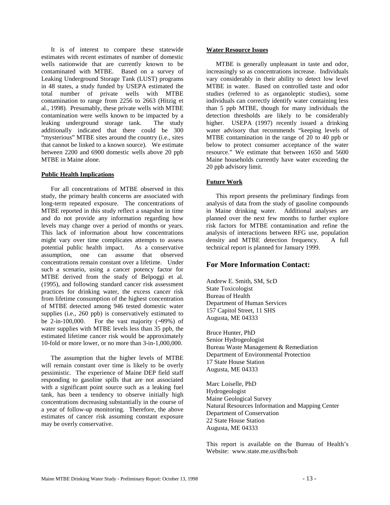It is of interest to compare these statewide estimates with recent estimates of number of domestic wells nationwide that are currently known to be contaminated with MTBE. Based on a survey of Leaking Underground Storage Tank (LUST) programs in 48 states, a study funded by USEPA estimated the total number of private wells with MTBE contamination to range from 2256 to 2663 (Hitzig et al., 1998). Presumably, these private wells with MTBE contamination were wells known to be impacted by a leaking underground storage tank. The study additionally indicated that there could be 300 "mysterious" MTBE sites around the country (i.e., sites that cannot be linked to a known source). We estimate between 2200 and 6900 domestic wells above 20 ppb MTBE in Maine alone.

#### **Public Health Implications**

 For all concentrations of MTBE observed in this study, the primary health concerns are associated with long-term repeated exposure. The concentrations of MTBE reported in this study reflect a snapshot in time and do not provide any information regarding how levels may change over a period of months or years. This lack of information about how concentrations might vary over time complicates attempts to assess potential public health impact. As a conservative assumption, one can assume that observed concentrations remain constant over a lifetime. Under such a scenario, using a cancer potency factor for MTBE derived from the study of Belpoggi et al. (1995), and following standard cancer risk assessment practices for drinking water, the excess cancer risk from lifetime consumption of the highest concentration of MTBE detected among 946 tested domestic water supplies (i.e., 260 ppb) is conservatively estimated to be 2-in-100,000. For the vast majority (∼99%) of water supplies with MTBE levels less than 35 ppb, the estimated lifetime cancer risk would be approximately 10-fold or more lower, or no more than 3-in-1,000,000.

 The assumption that the higher levels of MTBE will remain constant over time is likely to be overly pessimistic. The experience of Maine DEP field staff responding to gasoline spills that are not associated with a significant point source such as a leaking fuel tank, has been a tendency to observe initially high concentrations decreasing substantially in the course of a year of follow-up monitoring. Therefore, the above estimates of cancer risk assuming constant exposure may be overly conservative.

#### **Water Resource Issues**

 MTBE is generally unpleasant in taste and odor, increasingly so as concentrations increase. Individuals vary considerably in their ability to detect low level MTBE in water. Based on controlled taste and odor studies (referred to as organoleptic studies), some individuals can correctly identify water containing less than 5 ppb MTBE, though for many individuals the detection thresholds are likely to be considerably higher. USEPA (1997) recently issued a drinking water advisory that recommends "keeping levels of MTBE contamination in the range of 20 to 40 ppb or below to protect consumer acceptance of the water resource." We estimate that between 1650 and 5600 Maine households currently have water exceeding the 20 ppb advisory limit.

#### **Future Work**

 This report presents the preliminary findings from analysis of data from the study of gasoline compounds in Maine drinking water. Additional analyses are planned over the next few months to further explore risk factors for MTBE contamination and refine the analysis of interactions between RFG use, population density and MTBE detection frequency. A full technical report is planned for January 1999.

## **For More Information Contact:**

Andrew E. Smith, SM, ScD State Toxicologist Bureau of Health Department of Human Services 157 Capitol Street, 11 SHS Augusta, ME 04333

Bruce Hunter, PhD Senior Hydrogeologist Bureau Waste Management & Remediation Department of Environmental Protection 17 State House Station Augusta, ME 04333

Marc Loiselle, PhD Hydrogeologist Maine Geological Survey Natural Resources Information and Mapping Center Department of Conservation 22 State House Station Augusta, ME 04333

This report is available on the Bureau of Health's Website: www.state.me.us/dhs/boh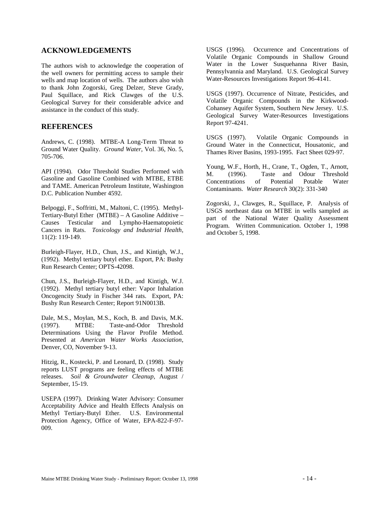## **ACKNOWLEDGEMENTS**

The authors wish to acknowledge the cooperation of the well owners for permitting access to sample their wells and map location of wells. The authors also wish to thank John Zogorski, Greg Delzer, Steve Grady, Paul Squillace, and Rick Clawges of the U.S. Geological Survey for their considerable advice and assistance in the conduct of this study.

## **REFERENCES**

Andrews, C. (1998). MTBE-A Long-Term Threat to Ground Water Quality. *Ground Water*, Vol. 36, No. 5, 705-706.

API (1994). Odor Threshold Studies Performed with Gasoline and Gasoline Combined with MTBE, ETBE and TAME. American Petroleum Institute, Washington D.C. Publication Number 4592.

Belpoggi, F., Soffritti, M., Maltoni, C. (1995). Methyl-Tertiary-Butyl Ether (MTBE) – A Gasoline Additive – Causes Testicular and Lympho-Haematopoietic Cancers in Rats. *Toxicology and Industrial Health*, 11(2): 119-149.

Burleigh-Flayer, H.D., Chun, J.S., and Kintigh, W.J., (1992). Methyl tertiary butyl ether. Export, PA: Bushy Run Research Center; OPTS-42098.

Chun, J.S., Burleigh-Flayer, H.D., and Kintigh, W.J. (1992). Methyl tertiary butyl ether: Vapor Inhalation Oncogencity Study in Fischer 344 rats. Export, PA: Bushy Run Research Center; Report 91N0013B.

Dale, M.S., Moylan, M.S., Koch, B. and Davis, M.K. (1997). MTBE: Taste-and-Odor Threshold Determinations Using the Flavor Profile Method. Presented at *American Water Works Association*, Denver, CO, November 9-13.

Hitzig, R., Kostecki, P. and Leonard, D. (1998). Study reports LUST programs are feeling effects of MTBE releases. *Soil & Groundwater Cleanup*, August / September, 15-19.

USEPA (1997). Drinking Water Advisory: Consumer Acceptability Advice and Health Effects Analysis on Methyl Tertiary-Butyl Ether. U.S. Environmental Protection Agency, Office of Water, EPA-822-F-97- 009.

USGS (1996). Occurrence and Concentrations of Volatile Organic Compounds in Shallow Ground Water in the Lower Susquehanna River Basin, Pennsylvannia and Maryland. U.S. Geological Survey Water-Resources Investigations Report 96-4141.

USGS (1997). Occurrence of Nitrate, Pesticides, and Volatile Organic Compounds in the Kirkwood-Cohansey Aquifer System, Southern New Jersey. U.S. Geological Survey Water-Resources Investigations Report 97-4241.

USGS (1997). Volatile Organic Compounds in Ground Water in the Connecticut, Housatonic, and Thames River Basins, 1993-1995. Fact Sheet 029-97.

Young, W.F., Horth, H., Crane, T., Ogden, T., Arnott, M. (1996). Taste and Odour Threshold Concentrations of Potential Potable Water Contaminants. *Water Research* 30(2): 331-340

Zogorski, J., Clawges, R., Squillace, P. Analysis of USGS northeast data on MTBE in wells sampled as part of the National Water Quality Assessment Program. Written Communication. October 1, 1998 and October 5, 1998.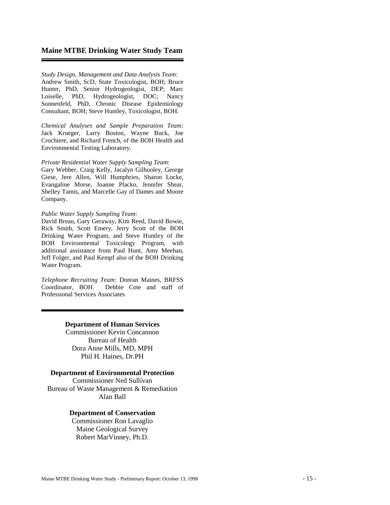## **Maine MTBE Drinking Water Study Team**

*Study Design, Management and Data Analysis Team:* Andrew Smith, ScD, State Toxicologist, BOH; Bruce Hunter, PhD, Senior Hydrogeologist, DEP; Marc Loiselle, PhD, Hydrogeologist, DOC; Nancy Sonnenfeld, PhD, Chronic Disease Epidemiology Consultant, BOH; Steve Huntley, Toxicologist, BOH.

*Chemical Analyses and Sample Preparation Team:* Jack Krueger, Larry Boston, Wayne Buck, Joe Crochiere, and Richard French, of the BOH Health and Environmental Testing Laboratory.

#### *Private Residential Water Supply Sampling Team*:

Gary Webber, Craig Kelly, Jacalyn Gilhooley, George Giese, Jere Allen, Will Humphries, Sharon Locke, Evangaline Morse, Joanne Placko, Jennifer Shear, Shelley Tamis, and Marcelle Gay of Dames and Moore Company.

#### *Public Water Supply Sampling Team*:

David Breau, Gary Geraway, Kim Reed, David Bowie, Rick Smith, Scott Emery, Jerry Scott of the BOH Drinking Water Program, and Steve Huntley of the BOH Environmental Toxicology Program, with additional assistance from Paul Hunt, Amy Meehan, Jeff Folger, and Paul Kempf also of the BOH Drinking Water Program.

*Telephone Recruiting Team:* Dorean Maines, BRFSS Coordinator, BOH. Debbie Cote and staff of Professional Services Associates.

### **Department of Human Services**

Commissioner Kevin Concannon Bureau of Health Dora Anne Mills, MD, MPH Phil H. Haines, Dr.PH

#### **Department of Environmental Protection**

Commissioner Ned Sullivan Bureau of Waste Management & Remediation Alan Ball

#### **Department of Conservation**

Commissioner Ron Lavaglio Maine Geological Survey Robert MarVinney, Ph.D.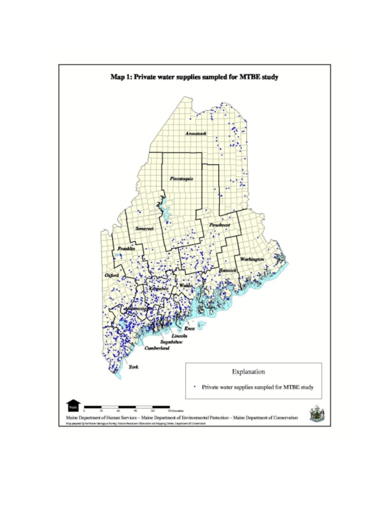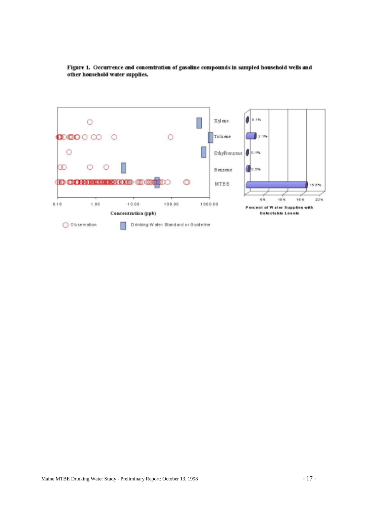

Figure 1. Occurrence and concentration of gasoline compounds in sampled household wells and other household water supplies.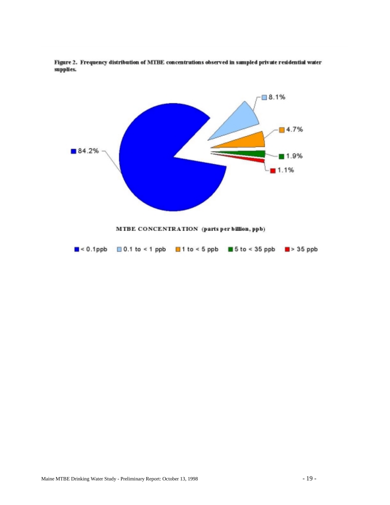

Figure 2. Frequency distribution of MTBE concentrations observed in sampled private residential water supplies.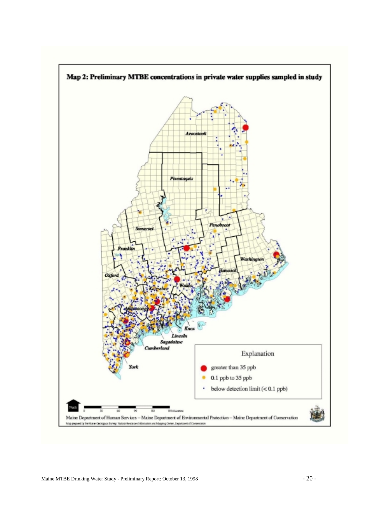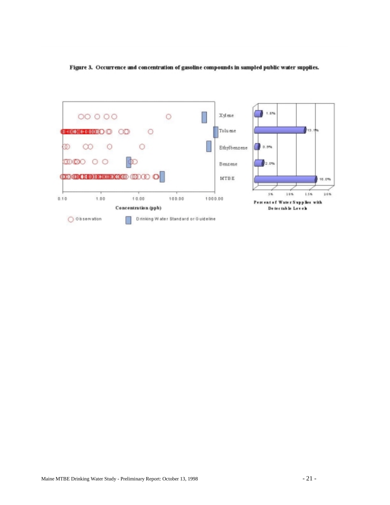Figure 3. Occurrence and concentration of gasoline compounds in sampled public water supplies.

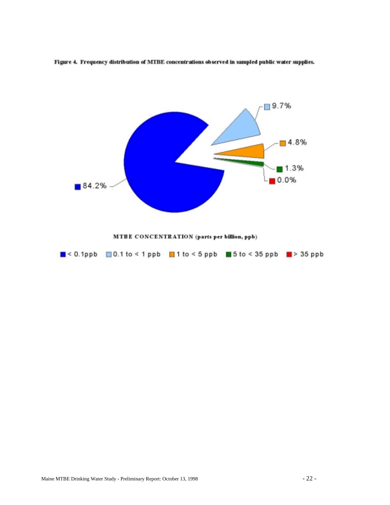

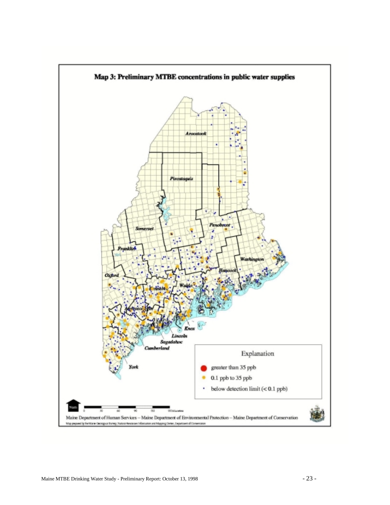